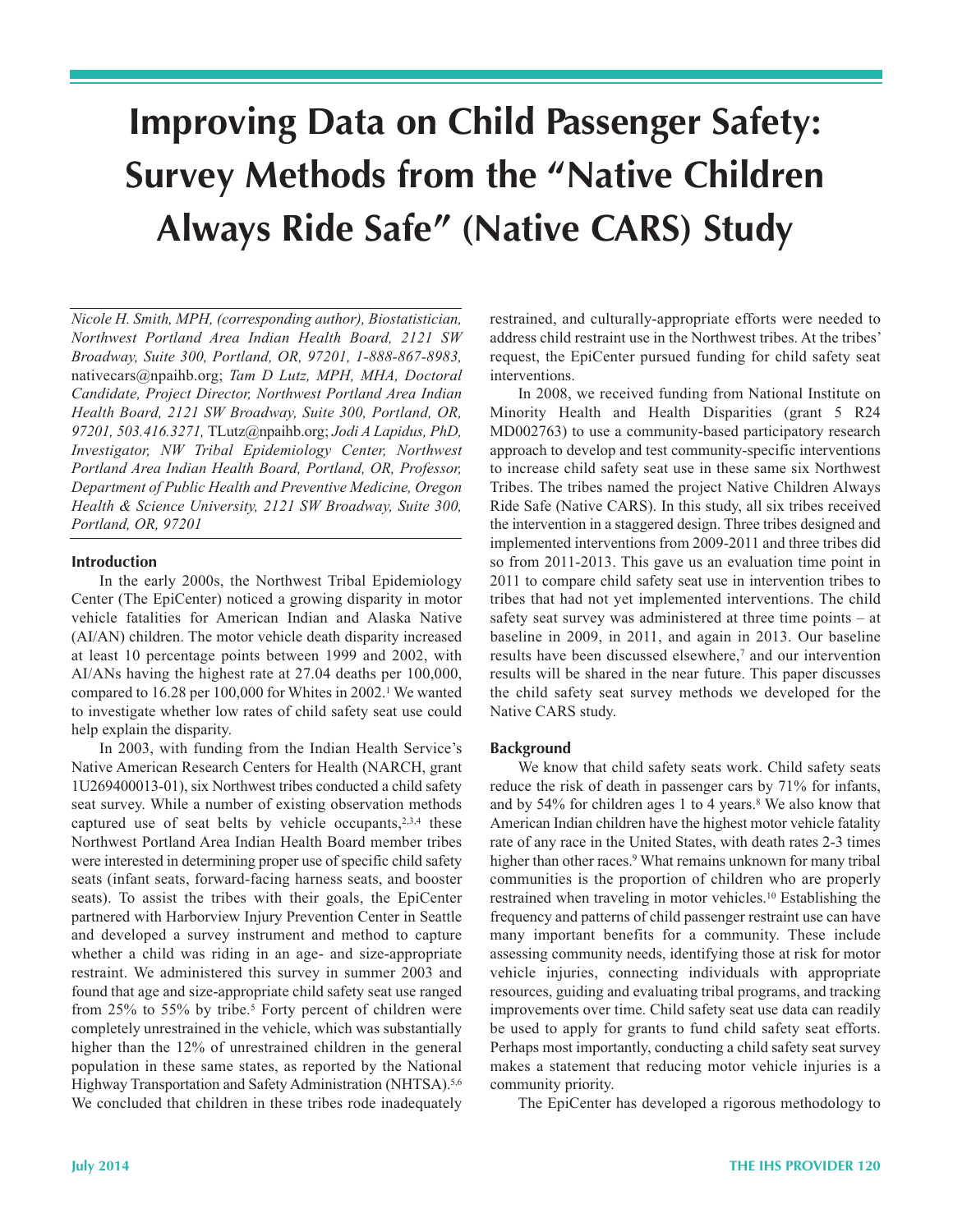# **Improving Data on Child Passenger Safety: Survey Methods from the "Native Children Always Ride Safe" (Native CARS) Study**

*Nicole H. Smith, MPH, (corresponding author), Biostatistician, Northwest Portland Area Indian Health Board, 2121 SW Broadway, Suite 300, Portland, OR, 97201, 1-888-867-8983,* nativecars@npaihb.org; *Tam D Lutz, MPH, MHA, Doctoral Candidate, Project Director, Northwest Portland Area Indian Health Board, 2121 SW Broadway, Suite 300, Portland, OR, 97201, 503.416.3271,* TLutz@npaihb.org; *Jodi A Lapidus, PhD, Investigator, NW Tribal Epidemiology Center, Northwest Portland Area Indian Health Board, Portland, OR, Professor, Department of Public Health and Preventive Medicine, Oregon Health & Science University, 2121 SW Broadway, Suite 300, Portland, OR, 97201*

#### **Introduction**

In the early 2000s, the Northwest Tribal Epidemiology Center (The EpiCenter) noticed a growing disparity in motor vehicle fatalities for American Indian and Alaska Native (AI/AN) children. The motor vehicle death disparity increased at least 10 percentage points between 1999 and 2002, with AI/ANs having the highest rate at 27.04 deaths per 100,000, compared to 16.28 per 100,000 for Whites in 2002.<sup>1</sup> We wanted to investigate whether low rates of child safety seat use could help explain the disparity.

In 2003, with funding from the Indian Health Service's Native American Research Centers for Health (NARCH, grant 1U269400013-01), six Northwest tribes conducted a child safety seat survey. While a number of existing observation methods captured use of seat belts by vehicle occupants,2,3,4 these Northwest Portland Area Indian Health Board member tribes were interested in determining proper use of specific child safety seats (infant seats, forward-facing harness seats, and booster seats). To assist the tribes with their goals, the EpiCenter partnered with Harborview Injury Prevention Center in Seattle and developed a survey instrument and method to capture whether a child was riding in an age- and size-appropriate restraint. We administered this survey in summer 2003 and found that age and size-appropriate child safety seat use ranged from 25% to 55% by tribe.<sup>5</sup> Forty percent of children were completely unrestrained in the vehicle, which was substantially higher than the 12% of unrestrained children in the general population in these same states, as reported by the National Highway Transportation and Safety Administration (NHTSA).<sup>5,6</sup> We concluded that children in these tribes rode inadequately

restrained, and culturally-appropriate efforts were needed to address child restraint use in the Northwest tribes. At the tribes' request, the EpiCenter pursued funding for child safety seat interventions.

 In 2008, we received funding from National Institute on Minority Health and Health Disparities (grant 5 R24 MD002763) to use a community-based participatory research approach to develop and test community-specific interventions to increase child safety seat use in these same six Northwest Tribes. The tribes named the project Native Children Always Ride Safe (Native CARS). In this study, all six tribes received the intervention in a staggered design. Three tribes designed and implemented interventions from 2009-2011 and three tribes did so from 2011-2013. This gave us an evaluation time point in 2011 to compare child safety seat use in intervention tribes to tribes that had not yet implemented interventions. The child safety seat survey was administered at three time points – at baseline in 2009, in 2011, and again in 2013. Our baseline results have been discussed elsewhere,<sup>7</sup> and our intervention results will be shared in the near future. This paper discusses the child safety seat survey methods we developed for the Native CARS study.

#### **Background**

 We know that child safety seats work. Child safety seats reduce the risk of death in passenger cars by 71% for infants, and by 54% for children ages 1 to 4 years.<sup>8</sup> We also know that American Indian children have the highest motor vehicle fatality rate of any race in the United States, with death rates 2-3 times higher than other races.<sup>9</sup> What remains unknown for many tribal communities is the proportion of children who are properly restrained when traveling in motor vehicles.10 Establishing the frequency and patterns of child passenger restraint use can have many important benefits for a community. These include assessing community needs, identifying those at risk for motor vehicle injuries, connecting individuals with appropriate resources, guiding and evaluating tribal programs, and tracking improvements over time. Child safety seat use data can readily be used to apply for grants to fund child safety seat efforts. Perhaps most importantly, conducting a child safety seat survey makes a statement that reducing motor vehicle injuries is a community priority.

The EpiCenter has developed a rigorous methodology to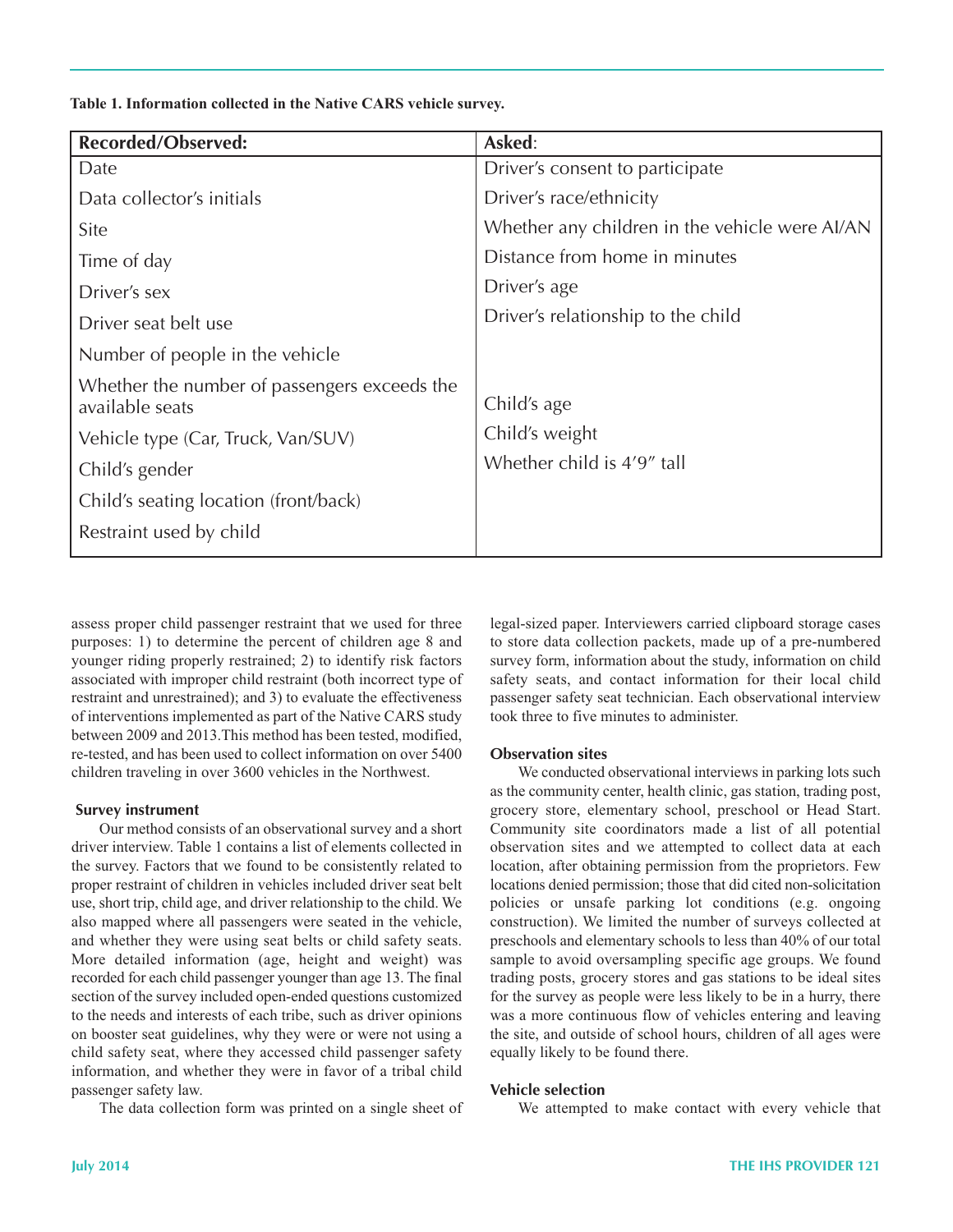**Table 1. Information collected in the Native CARS vehicle survey.**

| <b>Recorded/Observed:</b>                                       | Asked:                                         |
|-----------------------------------------------------------------|------------------------------------------------|
| Date                                                            | Driver's consent to participate                |
| Data collector's initials                                       | Driver's race/ethnicity                        |
| Site                                                            | Whether any children in the vehicle were AI/AN |
| Time of day                                                     | Distance from home in minutes                  |
| Driver's sex                                                    | Driver's age                                   |
| Driver seat belt use                                            | Driver's relationship to the child             |
| Number of people in the vehicle                                 |                                                |
| Whether the number of passengers exceeds the<br>available seats | Child's age                                    |
| Vehicle type (Car, Truck, Van/SUV)                              | Child's weight                                 |
| Child's gender                                                  | Whether child is 4'9" tall                     |
| Child's seating location (front/back)                           |                                                |
| Restraint used by child                                         |                                                |

 assess proper child passenger restraint that we used for three purposes: 1) to determine the percent of children age 8 and younger riding properly restrained; 2) to identify risk factors associated with improper child restraint (both incorrect type of restraint and unrestrained); and 3) to evaluate the effectiveness of interventions implemented as part of the Native CARS study between 2009 and 2013.This method has been tested, modified, re-tested, and has been used to collect information on over 5400 children traveling in over 3600 vehicles in the Northwest.

## **Survey instrument**

 Our method consists of an observational survey and a short driver interview. Table 1 contains a list of elements collected in the survey. Factors that we found to be consistently related to proper restraint of children in vehicles included driver seat belt use, short trip, child age, and driver relationship to the child. We also mapped where all passengers were seated in the vehicle, and whether they were using seat belts or child safety seats. More detailed information (age, height and weight) was recorded for each child passenger younger than age 13. The final section of the survey included open-ended questions customized to the needs and interests of each tribe, such as driver opinions on booster seat guidelines, why they were or were not using a child safety seat, where they accessed child passenger safety information, and whether they were in favor of a tribal child passenger safety law.

The data collection form was printed on a single sheet of

legal-sized paper. Interviewers carried clipboard storage cases to store data collection packets, made up of a pre-numbered survey form, information about the study, information on child safety seats, and contact information for their local child passenger safety seat technician. Each observational interview took three to five minutes to administer.

## **Observation sites**

 We conducted observational interviews in parking lots such as the community center, health clinic, gas station, trading post, grocery store, elementary school, preschool or Head Start. Community site coordinators made a list of all potential observation sites and we attempted to collect data at each location, after obtaining permission from the proprietors. Few locations denied permission; those that did cited non-solicitation policies or unsafe parking lot conditions (e.g. ongoing construction). We limited the number of surveys collected at preschools and elementary schools to less than 40% of our total sample to avoid oversampling specific age groups. We found trading posts, grocery stores and gas stations to be ideal sites for the survey as people were less likely to be in a hurry, there was a more continuous flow of vehicles entering and leaving the site, and outside of school hours, children of all ages were equally likely to be found there.

# **Vehicle selection**

We attempted to make contact with every vehicle that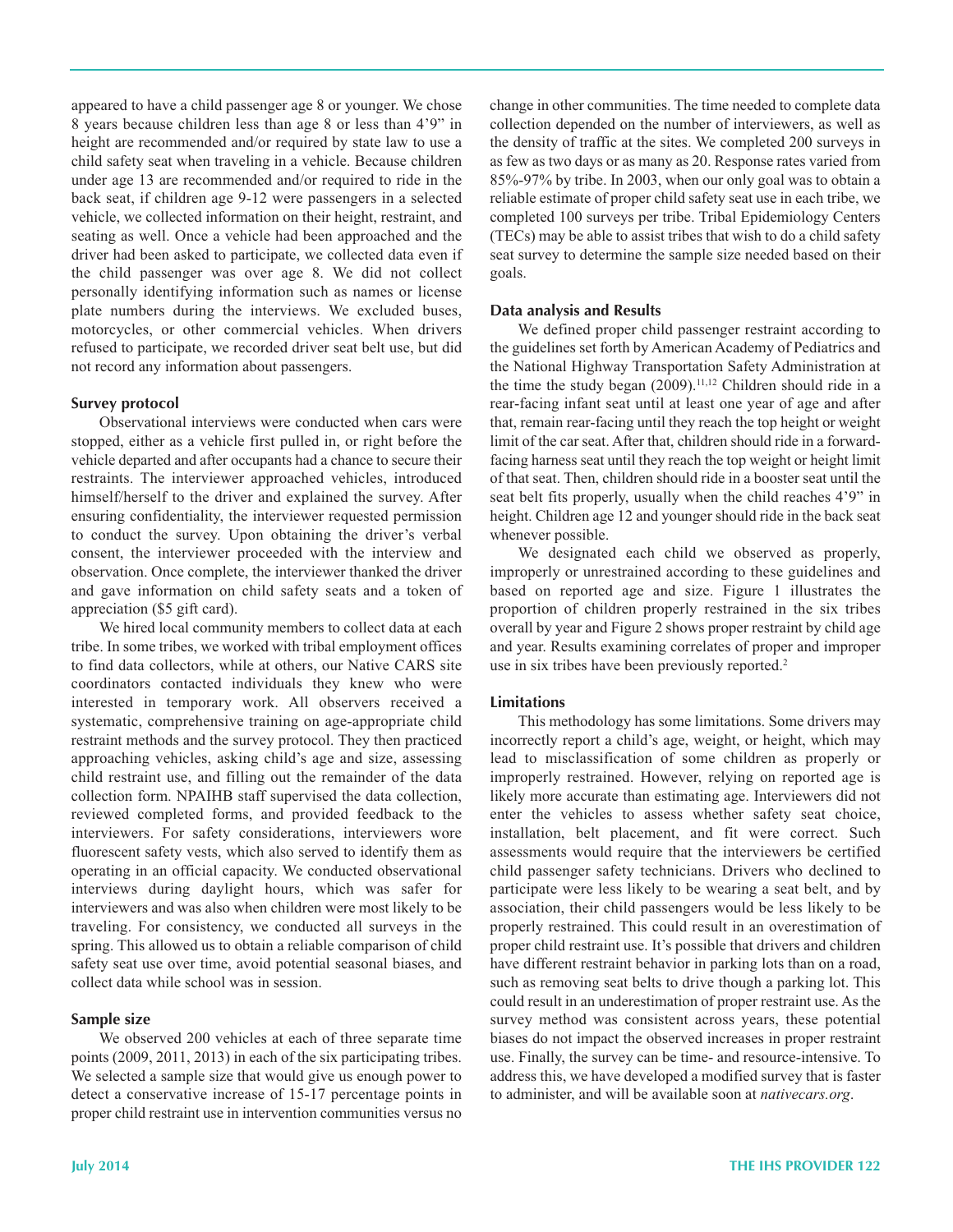appeared to have a child passenger age 8 or younger. We chose 8 years because children less than age 8 or less than 4'9" in height are recommended and/or required by state law to use a child safety seat when traveling in a vehicle. Because children under age 13 are recommended and/or required to ride in the back seat, if children age 912 were passengers in a selected vehicle, we collected information on their height, restraint, and seating as well. Once a vehicle had been approached and the driver had been asked to participate, we collected data even if the child passenger was over age 8. We did not collect personally identifying information such as names or license plate numbers during the interviews. We excluded buses, motorcycles, or other commercial vehicles. When drivers refused to participate, we recorded driver seat belt use, but did not record any information about passengers.

#### **Survey protocol**

 Observational interviews were conducted when cars were stopped, either as a vehicle first pulled in, or right before the vehicle departed and after occupants had a chance to secure their restraints. The interviewer approached vehicles, introduced himself/herself to the driver and explained the survey. After ensuring confidentiality, the interviewer requested permission to conduct the survey. Upon obtaining the driver's verbal consent, the interviewer proceeded with the interview and observation. Once complete, the interviewer thanked the driver and gave information on child safety seats and a token of appreciation (\$5 gift card).

 We hired local community members to collect data at each tribe. In some tribes, we worked with tribal employment offices to find data collectors, while at others, our Native CARS site coordinators contacted individuals they knew who were interested in temporary work. All observers received a systematic, comprehensive training on age-appropriate child restraint methods and the survey protocol. They then practiced approaching vehicles, asking child's age and size, assessing child restraint use, and filling out the remainder of the data collection form. NPAIHB staff supervised the data collection, reviewed completed forms, and provided feedback to the interviewers. For safety considerations, interviewers wore fluorescent safety vests, which also served to identify them as operating in an official capacity. We conducted observational interviews during daylight hours, which was safer for interviewers and was also when children were most likely to be traveling. For consistency, we conducted all surveys in the spring. This allowed us to obtain a reliable comparison of child safety seat use over time, avoid potential seasonal biases, and collect data while school was in session.

#### **Sample size**

 We observed 200 vehicles at each of three separate time points (2009, 2011, 2013) in each of the six participating tribes. We selected a sample size that would give us enough power to detect a conservative increase of 15-17 percentage points in proper child restraint use in intervention communities versus no

 change in other communities. The time needed to complete data collection depended on the number of interviewers, as well as the density of traffic at the sites. We completed 200 surveys in as few as two days or as many as 20. Response rates varied from 85%-97% by tribe. In 2003, when our only goal was to obtain a reliable estimate of proper child safety seat use in each tribe, we completed 100 surveys per tribe. Tribal Epidemiology Centers (TECs) may be able to assist tribes that wish to do a child safety seat survey to determine the sample size needed based on their goals.

#### **Data analysis and Results**

 We defined proper child passenger restraint according to the guidelines set forth by American Academy of Pediatrics and the National Highway Transportation Safety Administration at the time the study began (2009).<sup>11,12</sup> Children should ride in a rear-facing infant seat until at least one year of age and after that, remain rear-facing until they reach the top height or weight limit of the car seat. After that, children should ride in a forward- facing harness seat until they reach the top weight or height limit of that seat. Then, children should ride in a booster seat until the seat belt fits properly, usually when the child reaches 4'9" in height. Children age 12 and younger should ride in the back seat whenever possible.

 We designated each child we observed as properly, improperly or unrestrained according to these guidelines and based on reported age and size. Figure 1 illustrates the proportion of children properly restrained in the six tribes overall by year and Figure 2 shows proper restraint by child age and year. Results examining correlates of proper and improper use in six tribes have been previously reported.<sup>2</sup>

#### **Limitations**

 This methodology has some limitations. Some drivers may incorrectly report a child's age, weight, or height, which may lead to misclassification of some children as properly or improperly restrained. However, relying on reported age is likely more accurate than estimating age. Interviewers did not enter the vehicles to assess whether safety seat choice, installation, belt placement, and fit were correct. Such assessments would require that the interviewers be certified child passenger safety technicians. Drivers who declined to participate were less likely to be wearing a seat belt, and by association, their child passengers would be less likely to be properly restrained. This could result in an overestimation of proper child restraint use. It's possible that drivers and children have different restraint behavior in parking lots than on a road, such as removing seat belts to drive though a parking lot. This could result in an underestimation of proper restraint use. As the survey method was consistent across years, these potential biases do not impact the observed increases in proper restraint use. Finally, the survey can be time- and resource-intensive. To address this, we have developed a modified survey that is faster to administer, and will be available soon at *nativecars.org*.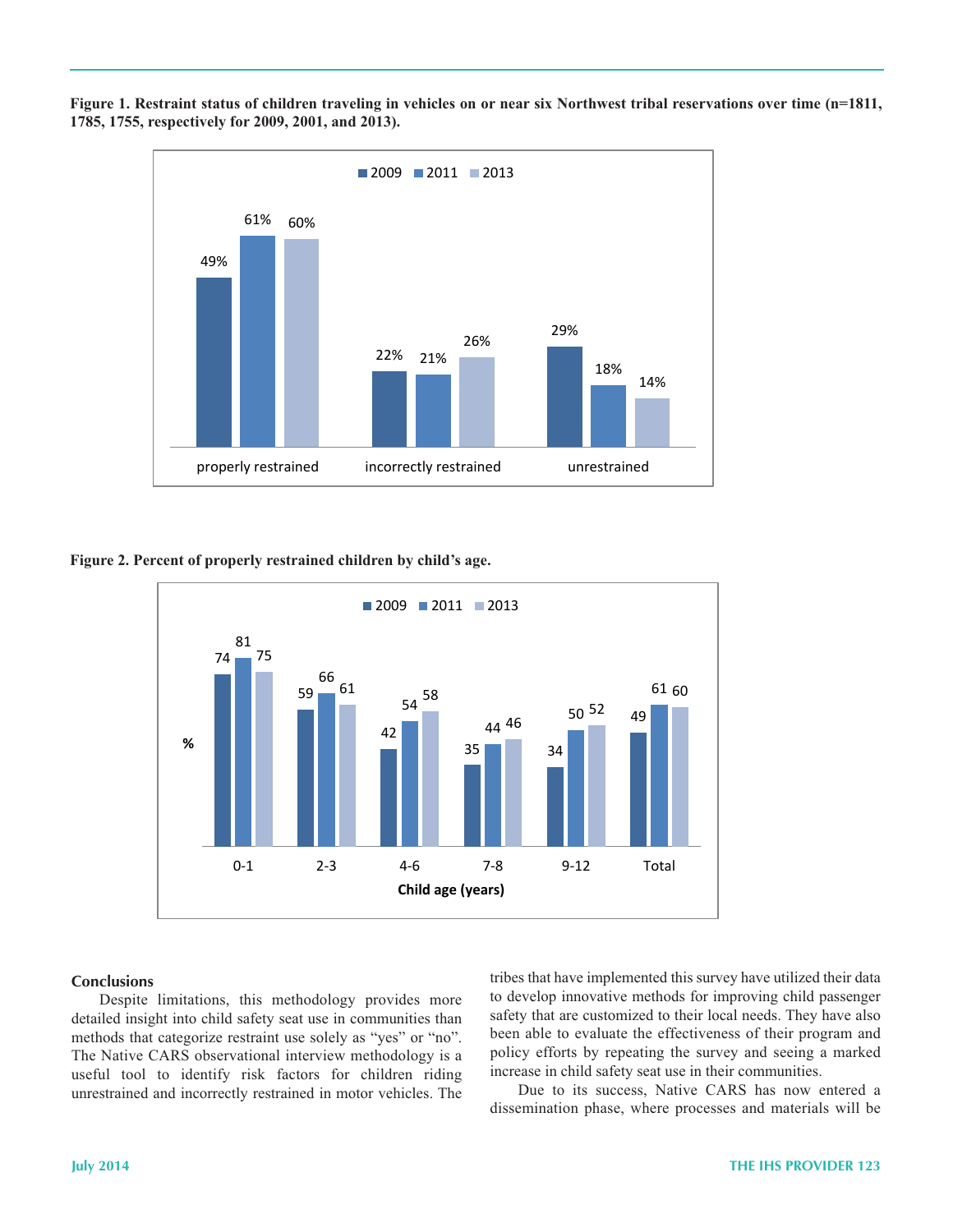

Figure 1. Restraint status of children traveling in vehicles on or near six Northwest tribal reservations over time (n=1811,  **1785, 1755, respectively for 2009, 2001, and 2013).**

 **Figure 2. Percent of properly restrained children by child's age.**



#### **Conclusions**

 Despite limitations, this methodology provides more detailed insight into child safety seat use in communities than methods that categorize restraint use solely as "yes" or "no". The Native CARS observational interview methodology is a useful tool to identify risk factors for children riding unrestrained and incorrectly restrained in motor vehicles. The  tribes that have implemented this survey have utilized their data to develop innovative methods for improving child passenger safety that are customized to their local needs. They have also been able to evaluate the effectiveness of their program and policy efforts by repeating the survey and seeing a marked increase in child safety seat use in their communities.

 Due to its success, Native CARS has now entered a dissemination phase, where processes and materials will be